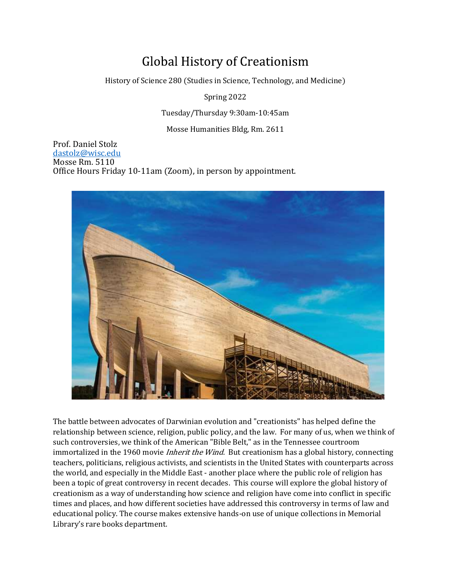# **Global History of Creationism**

History of Science 280 (Studies in Science, Technology, and Medicine)

Spring 2022

Tuesday/Thursday 9:30am-10:45am

Mosse Humanities Bldg, Rm. 2611

 Prof. Daniel Stolz dastolz@wisc.edu Mosse Rm. 5110 Office Hours Friday 10-11am (Zoom), in person by appointment.



The battle between advocates of Darwinian evolution and "creationists" has helped define the relationship between science, religion, public policy, and the law. For many of us, when we think of such controversies, we think of the American "Bible Belt," as in the Tennessee courtroom immortalized in the 1960 movie *Inherit the Wind*. But creationism has a global history, connecting teachers, politicians, religious activists, and scientists in the United States with counterparts across the world, and especially in the Middle East - another place where the public role of religion has been a topic of great controversy in recent decades. This course will explore the global history of creationism as a way of understanding how science and religion have come into conflict in specific times and places, and how different societies have addressed this controversy in terms of law and educational policy. The course makes extensive hands-on use of unique collections in Memorial Library's rare books department.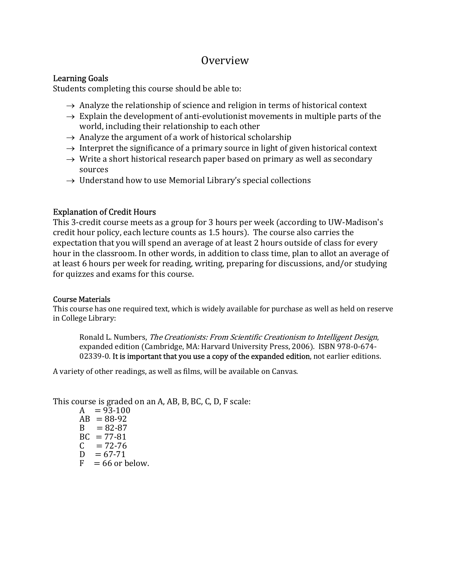## Overview

## Learning Goals

Students completing this course should be able to:

- $\rightarrow$  Analyze the relationship of science and religion in terms of historical context
- $\rightarrow$  Explain the development of anti-evolutionist movements in multiple parts of the world, including their relationship to each other
- $\rightarrow$  Analyze the argument of a work of historical scholarship
- $\rightarrow$  Interpret the significance of a primary source in light of given historical context
- $\rightarrow$  Write a short historical research paper based on primary as well as secondary sources
- $\rightarrow$  Understand how to use Memorial Library's special collections

## Explanation of Credit Hours

This 3-credit course meets as a group for 3 hours per week (according to UW-Madison's credit hour policy, each lecture counts as 1.5 hours). The course also carries the expectation that you will spend an average of at least 2 hours outside of class for every hour in the classroom. In other words, in addition to class time, plan to allot an average of at least 6 hours per week for reading, writing, preparing for discussions, and/or studying for quizzes and exams for this course.

### Course Materials

This course has one required text, which is widely available for purchase as well as held on reserve in College Library:

Ronald L. Numbers, The Creationists: From Scientific Creationism to Intelligent Design, expanded edition (Cambridge, MA: Harvard University Press, 2006). ISBN 978-0-674- 02339-0. It is important that you use a copy of the expanded edition, not earlier editions.

A variety of other readings, as well as films, will be available on Canvas.

This course is graded on an A, AB, B, BC, C, D, F scale:

 $A = 93-100$  $AB = 88-92$  $B = 82-87$  $BC = 77-81$  $C = 72-76$  $D = 67 - 71$  $F = 66$  or below.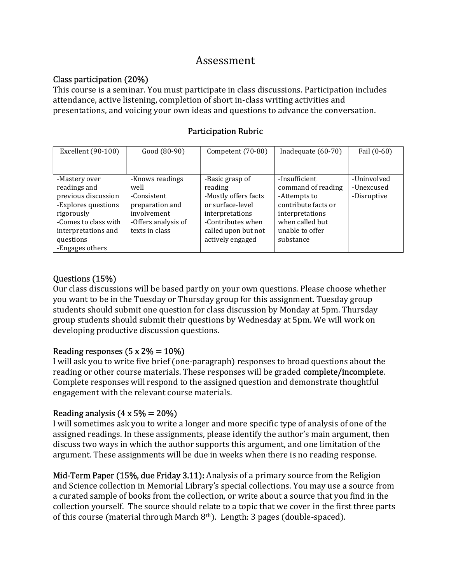## Assessment

## Class participation (20%)

This course is a seminar. You must participate in class discussions. Participation includes attendance, active listening, completion of short in-class writing activities and presentations, and voicing your own ideas and questions to advance the conversation.

## Participation Rubric

| Excellent (90-100)   | Good (80-90)        | Competent (70-80)    | Inadequate (60-70)  | Fail (0-60) |
|----------------------|---------------------|----------------------|---------------------|-------------|
|                      |                     |                      |                     |             |
| -Mastery over        | -Knows readings     | -Basic grasp of      | -Insufficient       | -Uninvolved |
| readings and         | well                | reading              | command of reading  | -Unexcused  |
| previous discussion  | -Consistent         | -Mostly offers facts | -Attempts to        | -Disruptive |
| -Explores questions  | preparation and     | or surface-level     | contribute facts or |             |
| rigorously           | involvement         | interpretations      | interpretations     |             |
| -Comes to class with | -Offers analysis of | -Contributes when    | when called but     |             |
| interpretations and  | texts in class      | called upon but not  | unable to offer     |             |
| questions            |                     | actively engaged     | substance           |             |
| -Engages others      |                     |                      |                     |             |

## Questions (15%)

Our class discussions will be based partly on your own questions. Please choose whether you want to be in the Tuesday or Thursday group for this assignment. Tuesday group students should submit one question for class discussion by Monday at 5pm. Thursday group students should submit their questions by Wednesday at 5pm. We will work on developing productive discussion questions.

### Reading responses  $(5 \times 2\% = 10\%)$

I will ask you to write five brief (one-paragraph) responses to broad questions about the reading or other course materials. These responses will be graded complete/incomplete. Complete responses will respond to the assigned question and demonstrate thoughtful engagement with the relevant course materials.

## Reading analysis  $(4 \times 5\% = 20\%)$

I will sometimes ask you to write a longer and more specific type of analysis of one of the assigned readings. In these assignments, please identify the author's main argument, then discuss two ways in which the author supports this argument, and one limitation of the argument. These assignments will be due in weeks when there is no reading response.

Mid-Term Paper (15%, due Friday 3.11): Analysis of a primary source from the Religion and Science collection in Memorial Library's special collections. You may use a source from a curated sample of books from the collection, or write about a source that you find in the collection yourself. The source should relate to a topic that we cover in the first three parts of this course (material through March 8th). Length: 3 pages (double-spaced).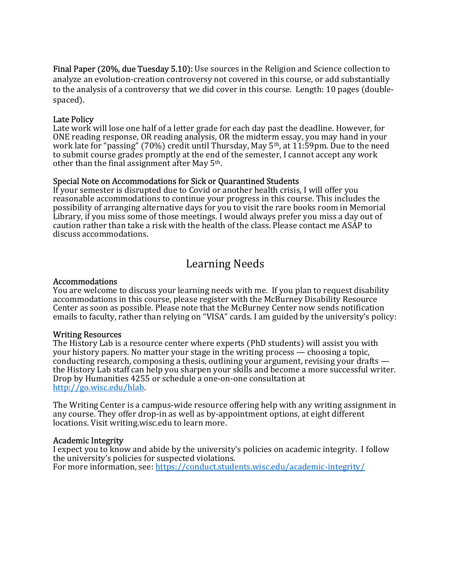Final Paper (20%, due Tuesday 5.10): Use sources in the Religion and Science collection to analyze an evolution-creation controversy not covered in this course, or add substantially to the analysis of a controversy that we did cover in this course. Length: 10 pages (doublespaced).

### Late Policy

Late work will lose one half of a letter grade for each day past the deadline. However, for ONE reading response, OR reading analysis, OR the midterm essay, you may hand in your work late for "passing" (70%) credit until Thursday, May  $5<sup>th</sup>$ , at  $11:59$ pm. Due to the need to submit course grades promptly at the end of the semester, I cannot accept any work other than the final assignment after May 5th.

### Special Note on Accommodations for Sick or Quarantined Students

If your semester is disrupted due to Covid or another health crisis, I will offer you reasonable accommodations to continue your progress in this course. This includes the possibility of arranging alternative days for you to visit the rare books room in Memorial Library, if you miss some of those meetings. I would always prefer you miss a day out of caution rather than take a risk with the health of the class. Please contact me ASAP to discuss accommodations.

## Learning Needs

### Accommodations

You are welcome to discuss your learning needs with me. If you plan to request disability accommodations in this course, please register with the McBurney Disability Resource Center as soon as possible. Please note that the McBurney Center now sends notification emails to faculty, rather than relying on "VISA" cards. I am guided by the university's policy:

### Writing Resources

The History Lab is a resource center where experts (PhD students) will assist you with your history papers. No matter your stage in the writing process — choosing a topic, conducting research, composing a thesis, outlining your argument, revising your drafts the History Lab staff can help you sharpen your skills and become a more successful writer. Drop by Humanities 4255 or schedule a one-on-one consultation at http://go.wisc.edu/hlab.

The Writing Center is a campus-wide resource offering help with any writing assignment in any course. They offer drop-in as well as by-appointment options, at eight different locations. Visit writing.wisc.edu to learn more.

### Academic Integrity

I expect you to know and abide by the university's policies on academic integrity. I follow the university's policies for suspected violations. For more information, see: https://conduct.students.wisc.edu/academic-integrity/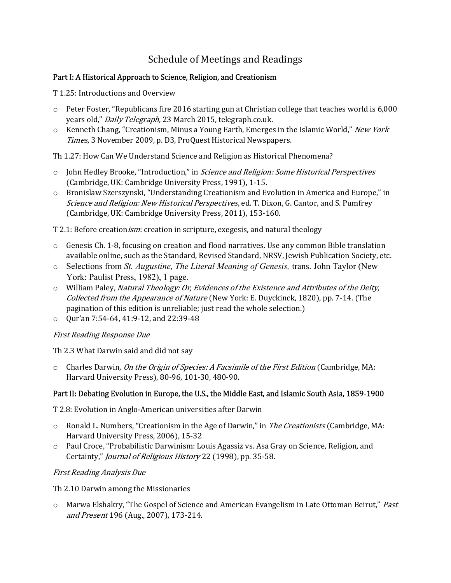## Schedule of Meetings and Readings

## Part I: A Historical Approach to Science, Religion, and Creationism

T 1.25: Introductions and Overview

- o Peter Foster, "Republicans fire 2016 starting gun at Christian college that teaches world is 6,000 years old," Daily Telegraph, 23 March 2015, telegraph.co.uk.
- o Kenneth Chang, "Creationism, Minus a Young Earth, Emerges in the Islamic World," New York Times, 3 November 2009, p. D3, ProQuest Historical Newspapers.

Th 1.27: How Can We Understand Science and Religion as Historical Phenomena?

- $\circ$  John Hedley Brooke, "Introduction," in *Science and Religion: Some Historical Perspectives* (Cambridge, UK: Cambridge University Press, 1991), 1-15.
- o Bronislaw Szerszynski, "Understanding Creationism and Evolution in America and Europe," in Science and Religion: New Historical Perspectives, ed. T. Dixon, G. Cantor, and S. Pumfrey (Cambridge, UK: Cambridge University Press, 2011), 153-160.

T 2.1: Before creation ism: creation in scripture, exegesis, and natural theology

- o Genesis Ch. 1-8, focusing on creation and flood narratives. Use any common Bible translation available online, such as the Standard, Revised Standard, NRSV, Jewish Publication Society, etc.
- $\circ$  Selections from *St. Augustine, The Literal Meaning of Genesis, trans. John Taylor (New* York: Paulist Press, 1982), 1 page.
- o William Paley, Natural Theology: Or, Evidences of the Existence and Attributes of the Deity, Collected from the Appearance of Nature (New York: E. Duyckinck, 1820), pp. 7-14. (The pagination of this edition is unreliable; just read the whole selection.)
- o Qur'an 7:54-64, 41:9-12, and 22:39-48

## First Reading Response Due

Th 2.3 What Darwin said and did not say

 $\circ$  Charles Darwin, *On the Origin of Species: A Facsimile of the First Edition* (Cambridge, MA: Harvard University Press), 80-96, 101-30, 480-90.

## Part II: Debating Evolution in Europe, the U.S., the Middle East, and Islamic South Asia, 1859-1900

T 2.8: Evolution in Anglo-American universities after Darwin

- $\circ$  Ronald L. Numbers, "Creationism in the Age of Darwin," in *The Creationists* (Cambridge, MA: Harvard University Press, 2006), 15-32
- o Paul Croce, "Probabilistic Darwinism: Louis Agassiz vs. Asa Gray on Science, Religion, and Certainty," Journal of Religious History 22 (1998), pp. 35-58.

## First Reading Analysis Due

Th 2.10 Darwin among the Missionaries

 $\circ$  Marwa Elshakry, "The Gospel of Science and American Evangelism in Late Ottoman Beirut," Past and Present 196 (Aug., 2007), 173-214.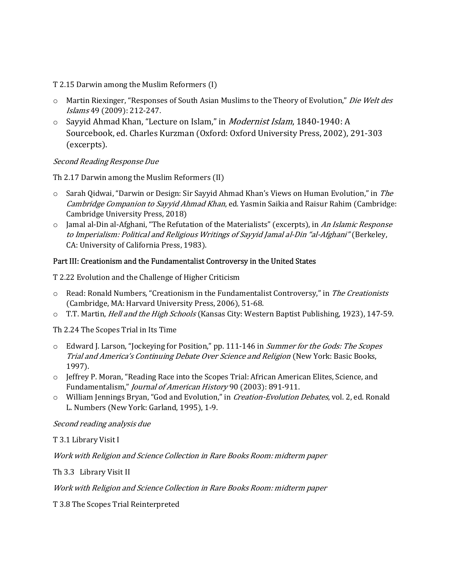T 2.15 Darwin among the Muslim Reformers (I)

- o Martin Riexinger, "Responses of South Asian Muslims to the Theory of Evolution," Die Welt des Islams 49 (2009): 212-247.
- $\circ$  Sayyid Ahmad Khan, "Lecture on Islam," in *Modernist Islam*, 1840-1940: A Sourcebook, ed. Charles Kurzman (Oxford: Oxford University Press, 2002), 291-303 (excerpts).

Second Reading Response Due

Th 2.17 Darwin among the Muslim Reformers (II)

- o Sarah Qidwai, "Darwin or Design: Sir Sayyid Ahmad Khan's Views on Human Evolution," in The Cambridge Companion to Sayyid Ahmad Khan, ed. Yasmin Saikia and Raisur Rahim (Cambridge: Cambridge University Press, 2018)
- o Jamal al-Din al-Afghani, "The Refutation of the Materialists" (excerpts), in An Islamic Response to Imperialism: Political and Religious Writings of Sayyid Jamal al-Din "al-Afghani" (Berkeley, CA: University of California Press, 1983).

#### Part III: Creationism and the Fundamentalist Controversy in the United States

T 2.22 Evolution and the Challenge of Higher Criticism

- $\circ$  Read: Ronald Numbers, "Creationism in the Fundamentalist Controversy," in The Creationists (Cambridge, MA: Harvard University Press, 2006), 51-68.
- o T.T. Martin, *Hell and the High Schools* (Kansas City: Western Baptist Publishing, 1923), 147-59.

Th 2.24 The Scopes Trial in Its Time

- o Edward J. Larson, "Jockeying for Position," pp. 111-146 in Summer for the Gods: The Scopes Trial and America's Continuing Debate Over Science and Religion (New York: Basic Books, 1997).
- o Jeffrey P. Moran, "Reading Race into the Scopes Trial: African American Elites, Science, and Fundamentalism," Journal of American History 90 (2003): 891-911.
- o William Jennings Bryan, "God and Evolution," in Creation-Evolution Debates, vol. 2, ed. Ronald L. Numbers (New York: Garland, 1995), 1-9.

Second reading analysis due

T 3.1 Library Visit I

Work with Religion and Science Collection in Rare Books Room: midterm paper

Th 3.3 Library Visit II

Work with Religion and Science Collection in Rare Books Room: midterm paper

T 3.8 The Scopes Trial Reinterpreted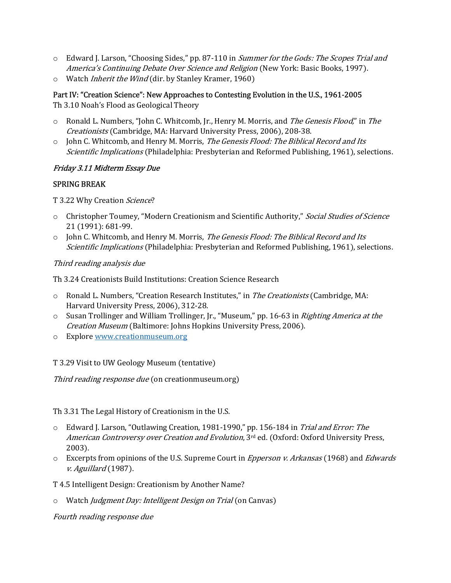- $\circ$  Edward J. Larson, "Choosing Sides," pp. 87-110 in *Summer for the Gods: The Scopes Trial and* America's Continuing Debate Over Science and Religion (New York: Basic Books, 1997).
- o Watch Inherit the Wind (dir. by Stanley Kramer, 1960)

# Part IV: "Creation Science": New Approaches to Contesting Evolution in the U.S., 1961-2005

Th 3.10 Noah's Flood as Geological Theory

- o Ronald L. Numbers, "John C. Whitcomb, Jr., Henry M. Morris, and The Genesis Flood," in The Creationists (Cambridge, MA: Harvard University Press, 2006), 208-38.
- o John C. Whitcomb, and Henry M. Morris, The Genesis Flood: The Biblical Record and Its Scientific Implications (Philadelphia: Presbyterian and Reformed Publishing, 1961), selections.

## Friday 3.11 Midterm Essay Due

### SPRING BREAK

T 3.22 Why Creation Science?

- o Christopher Toumey, "Modern Creationism and Scientific Authority," Social Studies of Science 21 (1991): 681-99.
- $\circ$  John C. Whitcomb, and Henry M. Morris, *The Genesis Flood: The Biblical Record and Its* Scientific Implications (Philadelphia: Presbyterian and Reformed Publishing, 1961), selections.

Third reading analysis due

Th 3.24 Creationists Build Institutions: Creation Science Research

- o Ronald L. Numbers, "Creation Research Institutes," in The Creationists (Cambridge, MA: Harvard University Press, 2006), 312-28.
- o Susan Trollinger and William Trollinger, Jr., "Museum," pp. 16-63 in Righting America at the Creation Museum (Baltimore: Johns Hopkins University Press, 2006).
- o Explore www.creationmuseum.org

T 3.29 Visit to UW Geology Museum (tentative)

Third reading response due (on creationmuseum.org)

Th 3.31 The Legal History of Creationism in the U.S.

- o Edward J. Larson, "Outlawing Creation, 1981-1990," pp. 156-184 in Trial and Error: The American Controversy over Creation and Evolution, 3<sup>rd</sup> ed. (Oxford: Oxford University Press, 2003).
- $\circ$  Excerpts from opinions of the U.S. Supreme Court in *Epperson v. Arkansas* (1968) and *Edwards* v. Aguillard (1987).
- T 4.5 Intelligent Design: Creationism by Another Name?
- o Watch Judgment Day: Intelligent Design on Trial (on Canvas)

Fourth reading response due